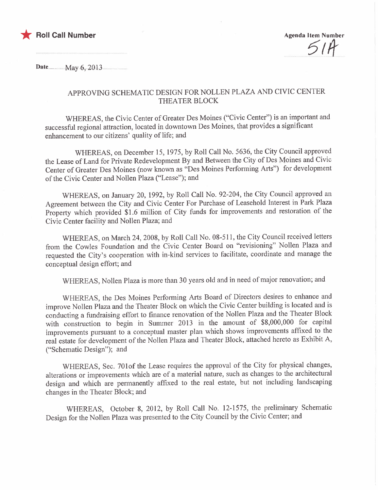

Date..... ...........May..6;..2013......

## APPROVING SCHEMATIC DESIGN FOR NOLLEN PLAZA AND CIVIC CENTER THEATER BLOCK

WHEREAS, the Civic Center of Greater Des Moines ("Civic Center") is an important and successful regional attraction, located in downtown Des Moines, that provides a significant enhancement to our citizens' quality of life; and

WHEREAS, on December 15, 1975, by Roll Call No. 5636, the City Council approved the Lease of Land for Private Redevelopment By and Between the City of Des Moines and Civic Center of Greater Des Moines (now known as "Des Moines Perfonning Arts") for developinent of the Civic Center and Nollen Plaza ("Lease"); and

WHEREAS, on January 20, 1992, by Roll Call No. 92-204, the City Council approved an Agreement between the City and Civic Center For Purchase of Leasehold Interest in Park Plaza Property which provided \$1.6 million of City funds for improvements and restoration of the Civic Center facility and Nollen Plaza; and

WHEREAS, on March 24, 2008, by Roll Call No. 08-511, the City Council received letters from the Cowles Foundation and the Civic Center Board on "revisioning" Nollen Plaza and requested the City's cooperation with in-kind services to facilitate, coordinate and manage the conceptual design effort; and

WHEREAS, Nollen Plaza is more than 30 years old and in need of major renovation; and

WHEREAS, the Des Moines Performing Arts Board of Directors desires to enhance and improve Nollen Plaza and the Theater Block on which the Civic Center building is located and is conducting a fundraising effort to finance renovation of the Nollen Plaza and the Theater Block with construction to begin in Summer 2013 in the amount of \$8,000,000 for capital improvements pursuant to a conceptual master plan which shows improvements affixed to the real estate for developinent of the Nollen Plaza and Theater Block, attached hereto as Exhibit A, ("Schematic Design"); and

WHEREAS, Sec. 701 of the Lease requires the approval of the City for physical changes, alterations or improvements which are of a material nature, such as changes to the architectural design and which are permanently affixed to the real estate, but not including landscaping changes in the Theater Block; and

WHEREAS, October 8, 2012, by Roll Call No. 12-1575, the preliminary Schematic Design for the Nollen Plaza was presented to the City Council by the Civic Center; and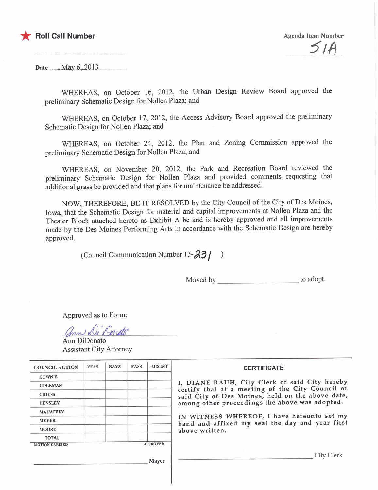

Date.... .......May...6,..20.l3.

WHEREAS, on October 16, 2012, the Urban Design Review Board approved the preliminary Schematic Design for Nollen Plaza; and

WHEREAS, on October 17, 2012, the Access Advisory Board approved the preliminary Schematic Design for Nollen Plaza; and

WHEREAS, on October 24, 2012, the Plan and Zoning Commission approved the preliminary Schematic Design for Nollen Plaza; and

WHEREAS, on November 20, 2012, the Park and Recreation Board reviewed the preliminary Schematic Design for Nollen Plaza and provided comments requesting that additional grass be provided and that plans for maintenance be addressed.

NOW, THEREFORE, BE IT RESOLVED by the City Council of the City of Des Moines, Iowa, that the Schematic Design for material and capital improvements at Nollen Plaza and the Theater Block attached hereto as Exhibit A be and is hereby approved and all improvements made by the Des Moines Performing Arts in accordance with the Schematic Design are hereby approved.

(Council Communication Number 13- $\frac{33}{1}$ )

Moved by to adopt.

Approved as to Fonn:

ann Di Dareto

Ann DiDonato Assistant City Attorney

| <b>COUNCIL ACTION</b>                             | <b>YEAS</b> | <b>NAYS</b> | <b>PASS</b> | <b>ABSENT</b> | <b>CERTIFICATE</b>                                                                                                                                                                                      |  |  |
|---------------------------------------------------|-------------|-------------|-------------|---------------|---------------------------------------------------------------------------------------------------------------------------------------------------------------------------------------------------------|--|--|
| <b>COWNIE</b>                                     |             |             |             |               |                                                                                                                                                                                                         |  |  |
| <b>COLEMAN</b>                                    |             |             |             |               | I, DIANE RAUH, City Clerk of said City hereby<br>certify that at a meeting of the City Council of<br>said City of Des Moines, held on the above date,<br>among other proceedings the above was adopted. |  |  |
| <b>GRIESS</b>                                     |             |             |             |               |                                                                                                                                                                                                         |  |  |
| <b>HENSLEY</b>                                    |             |             |             |               |                                                                                                                                                                                                         |  |  |
| <b>MAHAFFEY</b>                                   |             |             |             |               |                                                                                                                                                                                                         |  |  |
| <b>MEYER</b>                                      |             |             |             |               | IN WITNESS WHEREOF, I have hereunto set my<br>hand and affixed my seal the day and year first                                                                                                           |  |  |
| <b>MOORE</b>                                      |             |             |             |               | above written.                                                                                                                                                                                          |  |  |
| <b>TOTAL</b>                                      |             |             |             |               |                                                                                                                                                                                                         |  |  |
| <b>APPROVED</b><br><b>MOTION CARRIED</b><br>Mayor |             |             |             |               | <b>City Clerk</b>                                                                                                                                                                                       |  |  |
|                                                   |             |             |             |               |                                                                                                                                                                                                         |  |  |